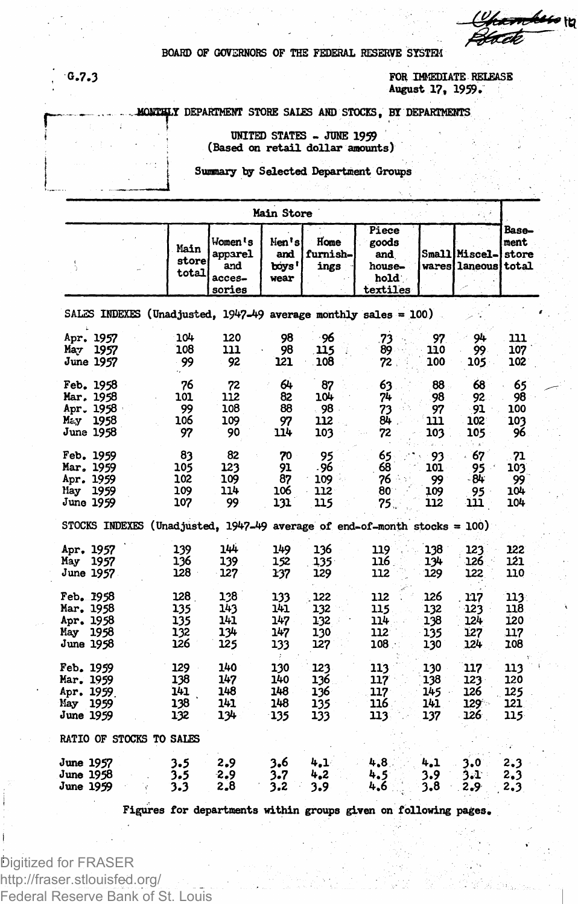<del>mbu</del>o n

**BOARD OF GOVERNORS OF THE FEDERAL RESERVE SYSTEM**

**r** 

**G.7.3 FOR IMMEDIATE RELEASE August 17, 1959.**

**• MOHT^.Y DEPARTMENT STORE SALES AND STOCKS, BYDEPARTMENTS**

**UNITED STATES - JUNE 1959 (Based on retail dollar amounts)**

**Summary by Selected Department Groups**

| Main Store                                                      |                                                                     |                                 |                              |                                                |                                 |                                 |                                                                             |                                    |                                             |                                  |  |  |  |
|-----------------------------------------------------------------|---------------------------------------------------------------------|---------------------------------|------------------------------|------------------------------------------------|---------------------------------|---------------------------------|-----------------------------------------------------------------------------|------------------------------------|---------------------------------------------|----------------------------------|--|--|--|
|                                                                 |                                                                     |                                 | Main<br>store<br>total       | Women 's<br>apparel<br>and<br>acces-<br>sories | Nen's<br>and<br>boys'<br>wear   | Home<br>furnish-<br>ings        | Piece<br>goods<br>and<br>house-<br>hold<br>textiles                         |                                    | Small Miscel-<br><b>wares laneous total</b> | Base-<br>ment<br>store           |  |  |  |
| SALES INDEXES (Unadjusted, 1947-49 average monthly sales = 100) |                                                                     |                                 |                              |                                                |                                 |                                 |                                                                             |                                    |                                             |                                  |  |  |  |
| Мау                                                             | Apr. 1957<br>1957<br>June 1957                                      |                                 | 104<br>108<br>99             | 120<br>111<br>92                               | 98<br>98<br>121                 | -96<br>115<br>108               | 73<br>89<br>72                                                              | 97<br>110<br>100                   | 94<br>99<br>105                             | 111<br>107<br>102                |  |  |  |
|                                                                 | Feb. 1958<br>Mar. 1958<br>Apr. 1958<br>May 1958<br>June 1958        |                                 | 76<br>101<br>99<br>106<br>97 | 72<br>112<br>108<br>109<br>90                  | 64<br>82<br>88<br>97<br>114     | 87<br>104<br>- 98<br>112<br>103 | 63<br>74<br>73<br>84<br>72                                                  | 88<br>98<br>97<br>111<br>103<br>2. | 68<br>92<br>91<br>102<br>105                | 65<br>98<br>100<br>103<br>96     |  |  |  |
|                                                                 | Feb. 1959<br>Mar. 1959<br>Apr. 1959<br>Hay 1959<br>June 1959        | 102<br>109<br>107               | 83<br>105                    | 82<br>123<br>109<br>114<br>99                  | 70<br>91<br>87<br>106<br>131    | 95<br>.96<br>109<br>112<br>115  | 65<br>68<br>76<br>80<br>75.                                                 | 93<br>101<br>99<br>109<br>112      | 67<br>95<br>- 84<br>95<br>111               | 71<br>103<br>99<br>104<br>104    |  |  |  |
|                                                                 |                                                                     |                                 |                              |                                                |                                 |                                 | STOCKS INDEXES (Unadjusted, $1947-49$ average of end-of-month stocks = 100) |                                    |                                             |                                  |  |  |  |
| May                                                             | Apr. 1957<br>1957<br>June 1957.                                     | 139<br>136<br>128               |                              | 144<br>139<br>127                              | 149<br>152<br>137               | 136<br>$135^{\circ}$<br>129     | 119<br>116<br>112                                                           | 138<br>134<br>129                  | 123<br>126<br>122                           | 122<br>121<br>110                |  |  |  |
|                                                                 | Feb. 1958<br>Mar. 1958<br>Apr. 1958<br>May 1958<br><b>June 1958</b> | 128<br>135<br>135<br>132<br>126 |                              | 128<br>143<br>141.<br>134<br>125               | 133<br>141<br>147<br>147<br>133 | 122<br>132<br>132<br>130<br>127 | 112<br>115<br>114<br>112<br>108.                                            | 126<br>132<br>138<br>135<br>130    | 117<br>123<br>124<br>127<br>124             | 113.<br>118<br>120<br>117<br>108 |  |  |  |
| <b>Feb. 1959</b><br>Mar. 1959<br>Nay<br>June 1959               | Apr. 1959<br>- 1959                                                 | 129<br>138<br>141<br>138<br>132 |                              | 140<br>147<br>148<br>141<br>134                | 130<br>140<br>148<br>148<br>135 | 123<br>136<br>136<br>135<br>133 | 113<br>117<br>117<br>116<br>113                                             | 130<br>138<br>145<br>141<br>137    | 117<br>123<br>126<br>$129 -$<br>126.        | 113<br>120<br>125<br>121<br>115  |  |  |  |
| RATIO OF STOCKS TO SALES                                        |                                                                     |                                 |                              |                                                |                                 |                                 |                                                                             |                                    |                                             |                                  |  |  |  |
| June 1957<br><b>June 1958</b><br>June 1959                      |                                                                     | 3.5<br>3.5<br>3.3               |                              | 2.9<br>-2.9<br>2.8                             | 3.6<br>3.7<br>3.2               | 4.1<br>4,2<br>3.9               | 4.8<br>4.5<br>4.6                                                           | 4.1<br>3.9<br>3.8                  | 3.0<br>3.T<br>2.9                           | 2.3<br>2,3<br>2.3                |  |  |  |

**Figures for departments within groups given on following pages.**

Digitized for FRASER http://fraser.stlouisfed.org/ Federal Reserve Bank of St. Louis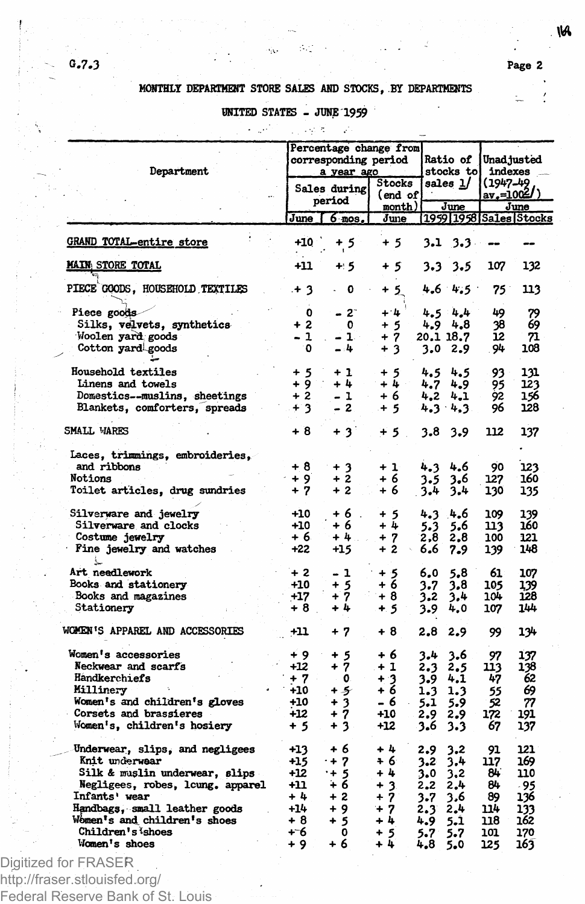## **MONTHLY DEPARTMENT STORE SALES AND STOCKS, BY DEPARTMENTS '**

 $\Delta \phi$ ila.

## **UNITED STATES - JUNE 1959**

| Department                       | Percentage change from<br>corresponding period<br>a year ago<br>Stocks |                        |                |               | Ratio of<br>stocks to |                              | Unadjusted<br>indexes               |  |
|----------------------------------|------------------------------------------------------------------------|------------------------|----------------|---------------|-----------------------|------------------------------|-------------------------------------|--|
|                                  |                                                                        | Sales during<br>period |                | (end of       | sales 1/<br>June      |                              | (1947-49<br><u>av.=1004</u><br>June |  |
|                                  |                                                                        | $June$ $6$ mos.        | month)<br>June |               |                       | [1959] 1958   Sales   Stocks |                                     |  |
| <b>GRAND TOTAL-entire store</b>  | +10                                                                    | $+5$                   | $+5$           |               | 3.1 3.3               |                              |                                     |  |
| <b>MAIN STORE TOTAL</b>          | $+11$                                                                  | $+5$                   | +5             | 3.3           | 3.5                   | 107                          | 132                                 |  |
| PIECE GOODS, HOUSEHOLD TEXTILES  | .+ 3                                                                   | 0                      | $+5$           |               | $4.6$ $4.5$           | 75                           | 113                                 |  |
| Piece goods                      | 0                                                                      | $2^{\circ}$            | $+ 4$          |               | $4.5 - 4.4$           | 49                           | 79                                  |  |
| Silks, velvets, synthetics       | $+2$                                                                   | 0                      | $+5$           |               | 4.9 4.8               | 38                           | 69                                  |  |
| Woolen yard goods                | $-1$                                                                   | - 10                   | $+7$           | 20.1 18.7     |                       | 12                           | 71                                  |  |
| Cotton yard goods                | ۰0                                                                     | - 4                    | $+3$           |               | 3.02.9                | . 94                         | 108                                 |  |
| Household textiles               | + 5                                                                    | + 1                    | + 5            | 4.5           | 4.5                   | 93                           | 131                                 |  |
| Linens and towels                | $+9$                                                                   | $+4$                   | $+4$           | 4.7           | 4.9                   | 95                           | 123                                 |  |
| Domestics--muslins, sheetings    | $+2$                                                                   | $-1$<br>$\sim$         | + 6            | 4.2           | 4.1                   | 92                           | 156                                 |  |
| Blankets, comforters, spreads    | $+3$                                                                   | - 2                    | $+5$           |               | 4.3 4.3               | 96                           | 128                                 |  |
| SMALL VIARES                     | + 8                                                                    | + 31                   | $+5$ .         | 3.8           | 3.9                   | 112                          | 137                                 |  |
| Laces, trimmings, embroideries,  |                                                                        |                        |                |               |                       |                              |                                     |  |
| and ribbons                      | $+8$                                                                   | $+3$                   | $+1$           | 4.3           | 4.6                   | 90                           | 123                                 |  |
| Notions                          | $+9$                                                                   | $+2$                   | + 6            | 3.5           | 3,6                   | 127                          | 160                                 |  |
| Toilet articles, drug sundries   | $+7$                                                                   | $+2$                   | + 6            | 3.4           | 3.4                   | 130                          | 135                                 |  |
| Silverware and jewelry           | $+10$                                                                  | $+6$ .                 | $+5$           | 4.3           | 4.6                   | 109                          | 139                                 |  |
| Silverware and clocks            | $+10$                                                                  | + 6                    | $+4$           | 5.3           | 5.6                   | 113                          | 160                                 |  |
| Costume jewelry                  | $+6$                                                                   | + 4                    | $+7$           | 2,8           | 2,8                   | 100                          | 121                                 |  |
| Fine jewelry and watches         | $+22$                                                                  | $+15$                  | $+2$           | 6.6           | 7.9                   | 139                          | 148                                 |  |
| Art needlework                   | $+2$                                                                   | - 1                    | $+5$           | 6,0           | 5.8                   | 61                           | 107                                 |  |
| Books and stationery             | $+10$                                                                  | $+5$                   | $+6$           | 3.7           | 3.8                   | 105                          | 139                                 |  |
| Books and magazines              | $+17$                                                                  | $+7$                   | $+8$           | 3.2           | 3.4                   | 104                          | 128                                 |  |
| Stationery                       | $+8$                                                                   | + 4                    | $+5$           | 3.9           | 4,0                   | 107                          | 144                                 |  |
| WOMEN'S APPAREL AND ACCESSORIES  | -11                                                                    | + 7                    | + 8            | 2.8           | 2.9                   | 99                           | 134                                 |  |
| Women's accessories              | و +                                                                    | $+5$                   | + 6            | 3.4           | 3.6                   | 97                           | 137                                 |  |
| Neckwear and scarfs              | $+12$                                                                  | + 7                    | $+1$           | 2.3           | 2.5                   | 113                          | 138                                 |  |
| Handkerchiefs                    | + 7                                                                    | 0.                     | + 3            | 3.9           | 4.1                   | 47                           | 62                                  |  |
| Millinery                        | $+10$                                                                  | +5                     | $+6$           | 1.3           | 1.3                   | 55                           | 69                                  |  |
| Women's and children's gloves    | $+10$                                                                  | $+3$                   | - 6            | 5.1           | 5.9                   | 52                           | 77                                  |  |
| Corsets and brassieres           | $+12$                                                                  | $+7$                   | $+10$          | 2.9           | 2.9                   | 172                          | 191                                 |  |
| Women's, children's hosiery      | + 5                                                                    | $+3$                   | $+12$          | 3.6           | 3.3                   | 67                           | 137                                 |  |
| Underwear, slips, and negligees  | $+13$                                                                  | + 6                    | $+4$           | 2.9           | 3.2                   | 91                           | 121                                 |  |
| Knit underwear                   | $+15$                                                                  | $+7$                   | + 6            | 3.2           | 3.4                   | 117                          | 169                                 |  |
| Silk & muslin underwear, slips   | $+12$                                                                  | $+5$                   | $+4$           | 3.0           | 3,2                   | 84                           | 110                                 |  |
| Negligees, robes, lcung, apparel | $+11$                                                                  | ∔ 6                    | $+3$           | 2.2           | 2.4                   | 84                           | - 95                                |  |
| Infants' wear                    | +4                                                                     | $+2$                   | $+7$           | 3.7           | 3,6                   | 89                           | 136                                 |  |
| Handbags, small leather goods    | $+14$                                                                  | $+9$                   | $+7$           | $2.3^{\circ}$ | 2.4                   | 114                          | 133                                 |  |
| Women's and children's shoes     | $+8$                                                                   | + 5                    | +4             | 4.9           | 5.1                   | 118                          | 162                                 |  |
| Children's ishoes                | +6                                                                     | 0                      | $+5$           | 5.7           | 5.7                   | 101                          | 170                                 |  |
| Women's shoes                    | $+9$                                                                   | $+6$                   | $+4$           | 4,8           | 5.0                   | 125                          | 163                                 |  |

Digitized for FRASER http://fraser.stlouisfed.org/ Federal Reserve Bank of St. Louis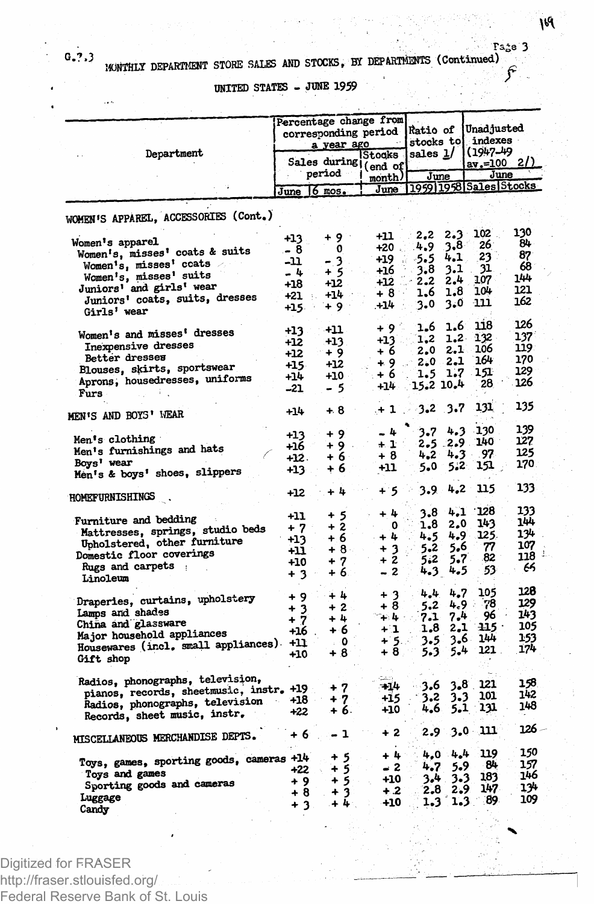**UNITED STATES - JUNE 1959**

|                                          | Percentage change from<br>corresponding period<br><u>a year ago</u> | Ratio of<br>stocks to |         | Unadjusted<br>indexes<br>$(1947 - 49)$ |               |                        |          |
|------------------------------------------|---------------------------------------------------------------------|-----------------------|---------|----------------------------------------|---------------|------------------------|----------|
| Department                               | Sales during (end of                                                |                       | Stocks  | sales 1/                               |               | $av = 100$ 2/          |          |
|                                          |                                                                     | period                |         | June                                   |               | June                   |          |
|                                          |                                                                     |                       | month)  |                                        |               | 1959 1958 Sales Stocks |          |
|                                          | June 6 mos.                                                         |                       | June    |                                        |               |                        |          |
| WOMEN'S APPAREL, ACCESSORIES (Cont.)     |                                                                     |                       |         |                                        |               |                        |          |
|                                          |                                                                     | -9<br>4               | -11     | 2,2                                    | $2.3 -$       | 102                    | 130      |
| Women's apparel                          | $+13$                                                               | 0                     | $+20$ . | 4.9                                    | $3.8^{\circ}$ | 26                     | 84       |
| Women's, misses' coats & suits           | - 8                                                                 |                       | +19     | -5.5                                   | 4.1           | 23                     | 87       |
| Women's, misses' coats                   | -11                                                                 | - 3                   | +16     | 3.8                                    | 3.1           | 31                     | 68       |
| Women's, misses' suits                   | - 4                                                                 | + 5                   |         | 2.2                                    | 2.4           | 107                    | 144      |
| Juniors' and girls' wear                 | +18                                                                 | $+12$                 | +12     | 1.6                                    | 1.8           | 104                    | 121      |
| Juniors' coats, suits, dresses           | +21                                                                 | $+14$                 | $+8$    |                                        |               |                        | 162      |
| Girls' wear                              | +15.                                                                | +9.                   | +14     | 3.0                                    | 3.0           | -111                   |          |
|                                          |                                                                     |                       | + 9 ⊹   | 1.6                                    | 1.6           | 118                    | 126      |
| Women's and misses' dresses              | +13                                                                 | +11                   |         | 1.2                                    |               | 1.2 132                | 137      |
| Inexpensive dresses                      | +12                                                                 | +13                   | +13     |                                        | 2.1           | 106                    | 119      |
| Better dresses                           | +12                                                                 | + 9                   | + 6     | 2.0<br>2.0 2.1                         |               | 164                    | 170      |
| Blouses, skirts, sportswear              | $+15$                                                               | $+12$                 | +9∵     |                                        |               | 151                    | 129      |
| Aprons, housedresses, uniforms           | +14                                                                 | $+10$                 | + 6     | $1.5$ 1.7                              |               |                        | 126      |
| Furs                                     | -21                                                                 | - 5                   | $+14$   | 15.2 10.4                              |               | 28                     |          |
| MEN'S AND BOYS' WEAR                     | $+14$                                                               | $+8$                  | $+1$ .  | $3.2 \quad 3.7$                        |               | 131                    | 135      |
|                                          |                                                                     |                       |         | 3.7                                    | 4.3           | $-130$                 | 139      |
| Men's clothing                           | $+13$                                                               | + 9                   | - 4     |                                        |               | 140 -                  | 127      |
| Men's furnishings and hats               | +16                                                                 | + 9                   | $+1$    | 2.5 2.9                                |               |                        | 125      |
| Boys' wear                               | +12.                                                                | + 6                   | ∔ 8     | 4,2                                    | 4.3           | 97                     |          |
| Men's & boys' shoes, slippers            | +13                                                                 | + 6                   | +11     | 5.0                                    | 5.2           | 151                    | 170.     |
|                                          | +12                                                                 | + 4                   | $+5$    | 3.9.<br>- 2                            | 4,2           | 115                    | 133      |
| HOMETURNISHINGS                          |                                                                     |                       |         |                                        |               |                        |          |
| Furniture and bedding                    | +11                                                                 | $+5$                  | + 4     | 3.8                                    | 4,1           | ∵128                   | 133      |
| Mattresses, springs, studio beds         | + 7                                                                 | $+2$                  | 0       | 1.8                                    | 2,0           | 143                    | 144      |
|                                          | +13                                                                 | + 6                   | $+4$    | 4.5                                    | 4.9           | 125.                   | 134      |
| Upholstered, other furniture             | +11                                                                 | +8⊹                   | $+3$    | 5.2                                    | 5,6           | 77                     | 107      |
| Domestic floor coverings                 | +10                                                                 | + 7                   | + 2     | 5.2                                    | 5.7.          | 82                     | ÷<br>118 |
| Rugs and carpets :                       | $+3$                                                                | + 6                   | - 2     | 4.3                                    | 4.5           | 53                     | 66       |
| Linoleum                                 |                                                                     |                       |         |                                        |               |                        |          |
|                                          | $+9$                                                                | $+4$                  | $+3$    | 4.4                                    | 4.7           | 105                    | 128      |
| Draperies, curtains, upholstery          | $+3$                                                                | $+2$                  | $+8$    | 5.2                                    | 4.9           | 78                     | 129      |
| Lamps and shades                         | + 7                                                                 | + 4                   | 74 4 ։  | 7.1                                    | 7.4           | 96                     | 143      |
| China and glassware                      |                                                                     | + 6                   | $+1$    | 1.8                                    | 2.1           | 115 ·                  | 105      |
| Major household appliances               | +16.                                                                | $\circ$               | + 5.∍   | 3.5                                    | : 3.6         | 144                    | 153      |
| Housewares (incl. small appliances) +11  |                                                                     | $\bar{r}$ :           | +8.     | 5.3                                    | 5.4           | 121.                   | 174      |
| Gift shop                                | $+10$                                                               | + 8                   |         |                                        |               |                        |          |
|                                          |                                                                     |                       |         |                                        |               |                        |          |
| Radios, phonographs, television,         |                                                                     | $+7$                  | -434    | 3.6                                    | 3.8.          | 121                    | 158      |
| pianos, records, sheetmusic, instr. +19  | +18                                                                 | $+7.$                 | +15     | 3.2                                    | 3.3           | 101                    | 142      |
| Radios, phonographs, television          |                                                                     | + 6.                  | +10     | 4.6                                    | 5.1           | 131                    | 148      |
| Records, sheet music, instr.             | +22                                                                 |                       |         |                                        |               |                        |          |
| MISCELIANEOUS MERCHANDISE DEPTS.         | + 6                                                                 | - 1                   | $+2$    | 2.9                                    |               | 3.0 111                | 126 –    |
|                                          |                                                                     | + 5                   | + 4     | 4.0                                    | 4.4           | 119                    | 150      |
| Toys, games, sporting goods, cameras +14 | +22                                                                 | $+5$                  | - 2     | 4.7                                    | 5.9           | 84                     | 157      |
| Toys and games                           |                                                                     | $+5$                  | $+10$   | 3.4.                                   | 3.3           | 183                    | 146      |
| Sporting goods and cameras               | + 9                                                                 |                       | $+2$    | 2.8                                    | 2.9           | 147                    | 134      |
| Luggage                                  | + 8                                                                 | $+3$                  |         |                                        | 1.3           | -89                    | 109      |
| Candy                                    | $+3$                                                                | $+4$                  | +10     | 1.3                                    |               |                        |          |

Digitized for FRASER http://fraser.stlouisfed.org/ Federal Reserve Bank of St. Louis **va** 

**Ta£e 3**

**C'7'**